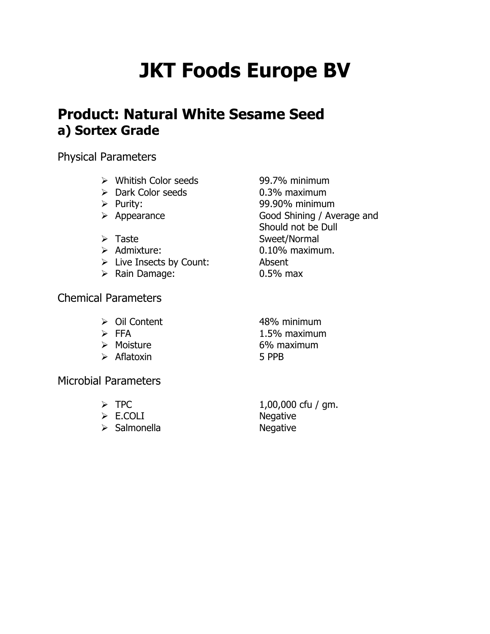# **JKT Foods Europe BV**

## **Product: Natural White Sesame Seed a) Sortex Grade**

Physical Parameters

- Whitish Color seeds 99.7% minimum
- ▶ Dark Color seeds 0.3% maximum
- 
- 
- 
- 
- Live Insects by Count: Absent
- Rain Damage: 0.5% max

Chemical Parameters

- 
- 
- 
- Aflatoxin 5 PPB

Microbial Parameters

- 
- E.COLI Negative
- > Salmonella Negative

 Purity: 99.90% minimum Appearance Good Shining / Average and Should not be Dull > Taste Sweet/Normal > Admixture: 0.10% maximum.

▶ Oil Content 48% minimum  $\triangleright$  FFA  $1.5\%$  maximum ▶ Moisture 6% maximum

 $\triangleright$  TPC  $1,00,000$  cfu / gm.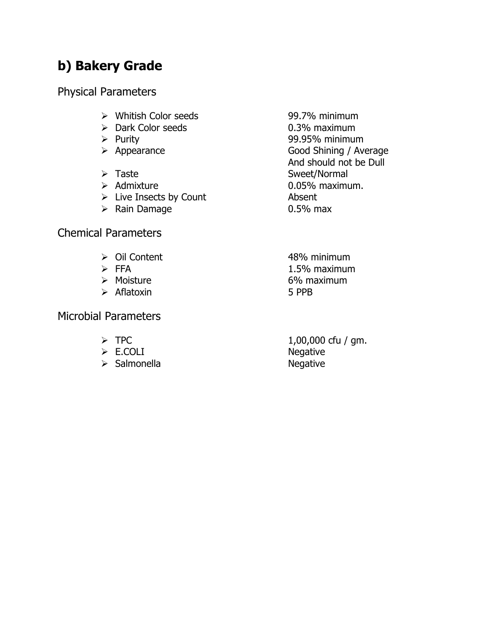## **b) Bakery Grade**

Physical Parameters

- Whitish Color seeds 99.7% minimum
- Dark Color seeds 0.3% maximum
- 
- 
- 
- 
- $\triangleright$  Live Insects by Count Absent
- ▶ Rain Damage 0.5% max

#### Chemical Parameters

- 
- 
- 
- Aflatoxin 5 PPB

Microbial Parameters

- 
- 
- $\triangleright$  Salmonella

 Purity 99.95% minimum ▶ Appearance Good Shining / Average And should not be Dull > Taste Sweet/Normal Admixture 0.05% maximum.

▶ Oil Content 2009 and 48% minimum  $\triangleright$  FFA  $1.5\%$  maximum Moisture 6% maximum

 $\triangleright$  TPC  $\triangleright$  1,00,000 cfu / gm. → E.COLI<br>
→ Salmonella → Negative